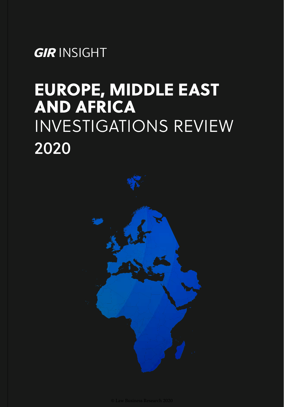*GIR* INSIGHT

## EUROPE, MIDDLE EAST AND AFRICA INVESTIGATIONS REVIEW 2020

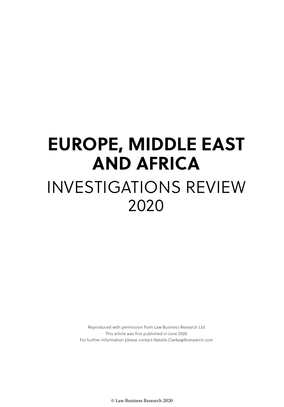# **EUROPE, MIDDLE EAST AND AFRICA** INVESTIGATIONS REVIEW 2020

Reproduced with permission from Law Business Research Ltd This article was first published in June 2020 For further information please contact Natalie.Clarke@lbresearch.com

© Law Business Research 2020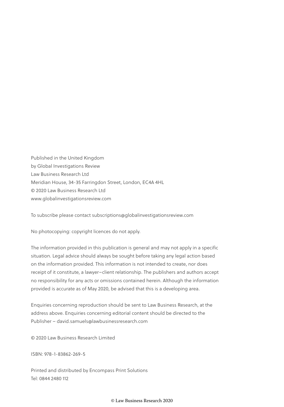Published in the United Kingdom by Global Investigations Review Law Business Research Ltd Meridian House, 34-35 Farringdon Street, London, EC4A 4HL © 2020 Law Business Research Ltd www.globalinvestigationsreview.com

To subscribe please contact subscriptions@globalinvestigationsreview.com

No photocopying: copyright licences do not apply.

The information provided in this publication is general and may not apply in a specific situation. Legal advice should always be sought before taking any legal action based on the information provided. This information is not intended to create, nor does receipt of it constitute, a lawyer–client relationship. The publishers and authors accept no responsibility for any acts or omissions contained herein. Although the information provided is accurate as of May 2020, be advised that this is a developing area.

Enquiries concerning reproduction should be sent to Law Business Research, at the address above. Enquiries concerning editorial content should be directed to the Publisher – david.samuels@lawbusinessresearch.com

© 2020 Law Business Research Limited

ISBN: 978-1-83862-269-5

Printed and distributed by Encompass Print Solutions Tel: 0844 2480 112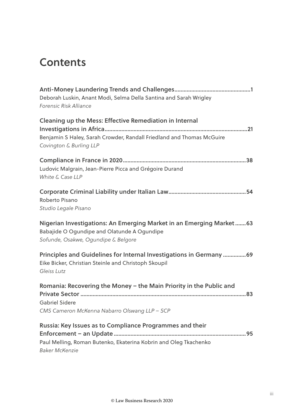### **Contents**

| Deborah Luskin, Anant Modi, Selma Della Santina and Sarah Wrigley<br>Forensic Risk Alliance                                                                 |
|-------------------------------------------------------------------------------------------------------------------------------------------------------------|
| Cleaning up the Mess: Effective Remediation in Internal<br>Benjamin S Haley, Sarah Crowder, Randall Friedland and Thomas McGuire<br>Covington & Burling LLP |
| Ludovic Malgrain, Jean-Pierre Picca and Grégoire Durand<br>White & Case LLP                                                                                 |
| Roberto Pisano<br>Studio Legale Pisano                                                                                                                      |
| Nigerian Investigations: An Emerging Market in an Emerging Market63<br>Babajide O Ogundipe and Olatunde A Ogundipe<br>Sofunde, Osakwe, Ogundipe & Belgore   |
| Principles and Guidelines for Internal Investigations in Germany 69<br>Eike Bicker, Christian Steinle and Christoph Skoupil<br>Gleiss Lutz                  |
| Romania: Recovering the Money - the Main Priority in the Public and<br><b>Gabriel Sidere</b><br>CMS Cameron McKenna Nabarro Olswang LLP - SCP               |
| Russia: Key Issues as to Compliance Programmes and their<br>Paul Melling, Roman Butenko, Ekaterina Kobrin and Oleg Tkachenko<br><b>Baker McKenzie</b>       |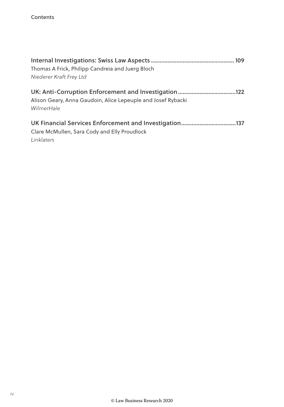| Thomas A Frick, Philipp Candreia and Juerg Bloch<br>Niederer Kraft Frey Ltd                            |     |
|--------------------------------------------------------------------------------------------------------|-----|
| Alison Geary, Anna Gaudoin, Alice Lepeuple and Josef Rybacki<br>WilmerHale                             | 122 |
| UK Financial Services Enforcement and Investigation137<br>Clare McMullen, Sara Cody and Elly Proudlock |     |

Linklaters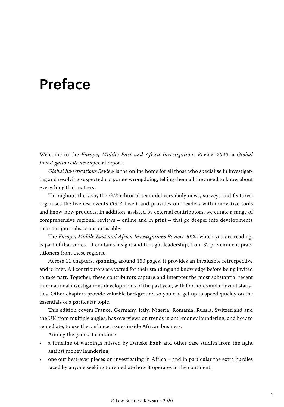### Preface

Welcome to the *Europe, Middle East and Africa Investigations Review 2020*, a *Global Investigations Review* special report.

*Global Investigations Review* is the online home for all those who specialise in investigating and resolving suspected corporate wrongdoing, telling them all they need to know about everything that matters.

Throughout the year, the *GIR* editorial team delivers daily news, surveys and features; organises the liveliest events ('GIR Live'); and provides our readers with innovative tools and know-how products. In addition, assisted by external contributors, we curate a range of comprehensive regional reviews – online and in print – that go deeper into developments than our journalistic output is able.

The *Europe, Middle East and Africa Investigations Review 2020*, which you are reading, is part of that series. It contains insight and thought leadership, from 32 pre-eminent practitioners from these regions.

Across 11 chapters, spanning around 150 pages, it provides an invaluable retrospective and primer. All contributors are vetted for their standing and knowledge before being invited to take part. Together, these contributors capture and interpret the most substantial recent international investigations developments of the past year, with footnotes and relevant statistics. Other chapters provide valuable background so you can get up to speed quickly on the essentials of a particular topic.

This edition covers France, Germany, Italy, Nigeria, Romania, Russia, Switzerland and the UK from multiple angles; has overviews on trends in anti-money laundering, and how to remediate, to use the parlance, issues inside African business.

Among the gems, it contains:

- a timeline of warnings missed by Danske Bank and other case studies from the fight against money laundering;
- one our best-ever pieces on investigating in Africa and in particular the extra hurdles faced by anyone seeking to remediate how it operates in the continent;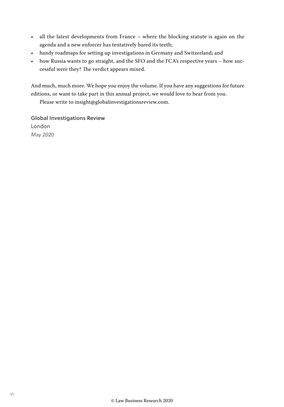- all the latest developments from France where the blocking statute is again on the agenda and a new enforcer has tentatively bared its teeth;
- handy roadmaps for setting up investigations in Germany and Switzerland; and
- how Russia wants to go straight, and the SFO and the FCA's respective years how successful were they? The verdict appears mixed.

And much, much more. We hope you enjoy the volume. If you have any suggestions for future editions, or want to take part in this annual project, we would love to hear from you.

Please write to insight@globalinvestigationsreview.com.

Global Investigations Review London *May 2020*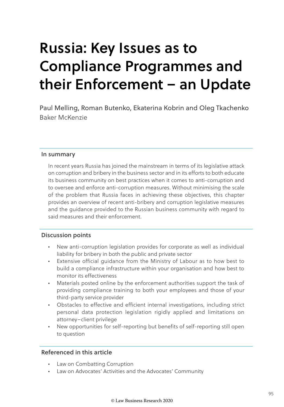## Russia: Key Issues as to Compliance Programmes and their Enforcement – an Update

Paul Melling, Roman Butenko, Ekaterina Kobrin and Oleg Tkachenko Baker McKenzie

#### In summary

In recent years Russia has joined the mainstream in terms of its legislative attack on corruption and bribery in the business sector and in its efforts to both educate its business community on best practices when it comes to anti-corruption and to oversee and enforce anti-corruption measures. Without minimising the scale of the problem that Russia faces in achieving these objectives, this chapter provides an overview of recent anti-bribery and corruption legislative measures and the guidance provided to the Russian business community with regard to said measures and their enforcement.

#### Discussion points

- New anti-corruption legislation provides for corporate as well as individual liability for bribery in both the public and private sector
- Extensive official guidance from the Ministry of Labour as to how best to build a compliance infrastructure within your organisation and how best to monitor its effectiveness
- Materials posted online by the enforcement authorities support the task of providing compliance training to both your employees and those of your third-party service provider
- Obstacles to effective and efficient internal investigations, including strict personal data protection legislation rigidly applied and limitations on attorney–client privilege
- New opportunities for self-reporting but benefits of self-reporting still open to question

#### Referenced in this article

- Law on Combatting Corruption
- Law on Advocates' Activities and the Advocates' Community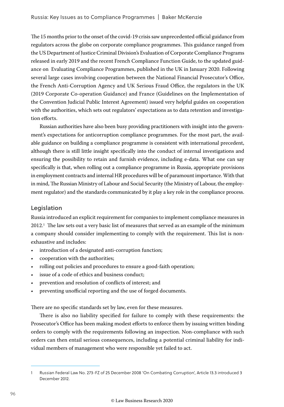The 15 months prior to the onset of the covid-19 crisis saw unprecedented official guidance from regulators across the globe on corporate compliance programmes. This guidance ranged from the US Department of Justice Criminal Division's Evaluation of Corporate Compliance Programs released in early 2019 and the recent French Compliance Function Guide, to the updated guidance on Evaluating Compliance Programmes, published in the UK in January 2020. Following several large cases involving cooperation between the National Financial Prosecutor's Office, the French Anti-Corruption Agency and UK Serious Fraud Office, the regulators in the UK (2019 Corporate Co-operation Guidance) and France (Guidelines on the Implementation of the Convention Judicial Public Interest Agreement) issued very helpful guides on cooperation with the authorities, which sets out regulators' expectations as to data retention and investigation efforts.

Russian authorities have also been busy providing practitioners with insight into the government's expectations for anticorruption compliance programmes. For the most part, the available guidance on building a compliance programme is consistent with international precedent, although there is still little insight specifically into the conduct of internal investigations and ensuring the possibility to retain and furnish evidence, including e-data. What one can say specifically is that, when rolling out a compliance programme in Russia, appropriate provisions in employment contracts and internal HR procedures will be of paramount importance. With that in mind, The Russian Ministry of Labour and Social Security (the Ministry of Labour, the employment regulator) and the standards communicated by it play a key role in the compliance process.

#### Legislation

Russia introduced an explicit requirement for companies to implement compliance measures in  $2012.^{\rm l}$  The law sets out a very basic list of measures that served as an example of the minimum a company should consider implementing to comply with the requirement. This list is nonexhaustive and includes:

- introduction of a designated anti-corruption function;
- cooperation with the authorities;
- rolling out policies and procedures to ensure a good-faith operation;
- issue of a code of ethics and business conduct;
- prevention and resolution of conflicts of interest; and
- preventing unofficial reporting and the use of forged documents.

There are no specific standards set by law, even for these measures.

There is also no liability specified for failure to comply with these requirements: the Prosecutor's Office has been making modest efforts to enforce them by issuing written binding orders to comply with the requirements following an inspection. Non-compliance with such orders can then entail serious consequences, including a potential criminal liability for individual members of management who were responsible yet failed to act.

<sup>1</sup> Russian Federal Law No. 273-FZ of 25 December 2008 'On Combating Corruption', Article 13.3 introduced 3 December 2012.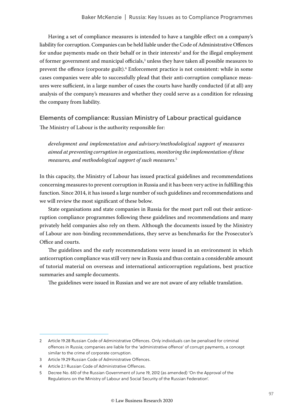Having a set of compliance measures is intended to have a tangible effect on a company's liability for corruption. Companies can be held liable under the Code of Administrative Offences for undue payments made on their behalf or in their interests $^2$  and for the illegal employment of former government and municipal officials, $3$  unless they have taken all possible measures to prevent the offence (corporate guilt).<sup>4</sup> Enforcement practice is not consistent: while in some cases companies were able to successfully plead that their anti-corruption compliance measures were sufficient, in a large number of cases the courts have hardly conducted (if at all) any analysis of the company's measures and whether they could serve as a condition for releasing the company from liability.

#### Elements of compliance: Russian Ministry of Labour practical guidance The Ministry of Labour is the authority responsible for:

*development and implementation and advisory/methodological support of measures aimed at preventing corruption in organizations, monitoring the implementation of these measures, and methodological support of such measures.*<sup>5</sup>

In this capacity, the Ministry of Labour has issued practical guidelines and recommendations concerning measures to prevent corruption in Russia and it has been very active in fulfilling this function. Since 2014, it has issued a large number of such guidelines and recommendations and we will review the most significant of these below.

State organisations and state companies in Russia for the most part roll out their anticorruption compliance programmes following these guidelines and recommendations and many privately held companies also rely on them. Although the documents issued by the Ministry of Labour are non-binding recommendations, they serve as benchmarks for the Prosecutor's Office and courts.

The guidelines and the early recommendations were issued in an environment in which anticorruption compliance was still very new in Russia and thus contain a considerable amount of tutorial material on overseas and international anticorruption regulations, best practice summaries and sample documents.

The guidelines were issued in Russian and we are not aware of any reliable translation.

<sup>2</sup> Article 19.28 Russian Code of Administrative Offences. Only individuals can be penalised for criminal offences in Russia; companies are liable for the 'administrative offence' of corrupt payments, a concept similar to the crime of corporate corruption.

<sup>3</sup> Article 19.29 Russian Code of Administrative Offences.

<sup>4</sup> Article 2.1 Russian Code of Administrative Offences.

<sup>5</sup> Decree No. 610 of the Russian Government of June 19, 2012 (as amended) 'On the Approval of the Regulations on the Ministry of Labour and Social Security of the Russian Federation'.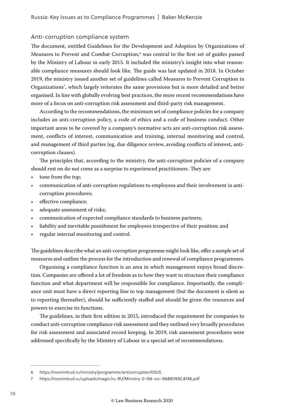#### Anti-corruption compliance system

The document, entitled Guidelines for the Development and Adoption by Organizations of Measures to Prevent and Combat Corruption,<sup>6</sup> was central to the first set of guides passed by the Ministry of Labour in early 2015. It included the ministry's insight into what reasonable compliance measures should look like. The guide was last updated in 2018. In October 2019, the ministry issued another set of guidelines called Measures to Prevent Corruption in Organizations7 , which largely reiterates the same provisions but is more detailed and better organised. In line with globally evolving best practices, the more recent recommendations have more of a focus on anti-corruption risk assessment and third-party risk management.

According to the recommendations, the minimum set of compliance policies for a company includes an anti-corruption policy, a code of ethics and a code of business conduct. Other important areas to be covered by a company's normative acts are anti-corruption risk assessment, conflicts of interest, communication and training, internal monitoring and control, and management of third parties (eg, due diligence review, avoiding conflicts of interest, anticorruption clauses).

The principles that, according to the ministry, the anti-corruption policies of a company should rest on do not come as a surprise to experienced practitioners. They are:

- tone from the top;
- communication of anti-corruption regulations to employees and their involvement in anticorruption procedures;
- effective compliance;
- adequate assessment of risks;
- communication of expected compliance standards to business partners;
- liability and inevitable punishment for employees irrespective of their position; and
- regular internal monitoring and control.

The guidelines describe what an anti-corruption programme might look like, offer a sample set of measures and outline the process for the introduction and renewal of compliance programmes.

Organising a compliance function is an area in which management enjoys broad discretion. Companies are offered a lot of freedom as to how they want to structure their compliance function and what department will be responsible for compliance. Importantly, the compliance unit must have a direct reporting line to top management (but the document is silent as to reporting thereafter), should be sufficiently staffed and should be given the resources and powers to exercise its functions.

The guidelines, in their first edition in 2015, introduced the requirement for companies to conduct anti-corruption compliance risk assessment and they outlined very broadly procedures for risk assessment and associated record keeping. In 2019, risk assessment procedures were addressed specifically by the Ministry of Labour in a special set of recommendations.

<sup>6</sup> https://rosmintrud.ru/ministry/programms/anticorruption/015/0.

<sup>7</sup> https://rosmintrud.ru/uploads/magic/ru-RU/Ministry-0-106-src-1568817692.8748.pdf.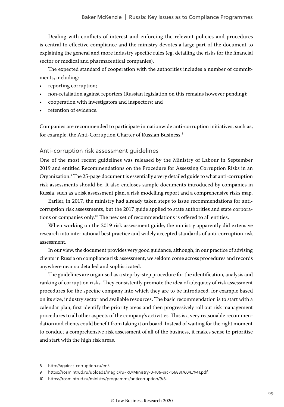Dealing with conflicts of interest and enforcing the relevant policies and procedures is central to effective compliance and the ministry devotes a large part of the document to explaining the general and more industry specific rules (eg, detailing the risks for the financial sector or medical and pharmaceutical companies).

The expected standard of cooperation with the authorities includes a number of commitments, including:

- reporting corruption;
- non-retaliation against reporters (Russian legislation on this remains however pending);
- cooperation with investigators and inspectors; and
- retention of evidence.

Companies are recommended to participate in nationwide anti-corruption initiatives, such as, for example, the Anti-Corruption Charter of Russian Business.<sup>8</sup>

#### Anti-corruption risk assessment guidelines

One of the most recent guidelines was released by the Ministry of Labour in September 2019 and entitled Recommendations on the Procedure for Assessing Corruption Risks in an Organization.9 The 25-page document is essentially a very detailed guide to what anti-corruption risk assessments should be. It also encloses sample documents introduced by companies in Russia, such as a risk assessment plan, a risk modelling report and a comprehensive risks map.

Earlier, in 2017, the ministry had already taken steps to issue recommendations for anticorruption risk assessments, but the 2017 guide applied to state authorities and state corporations or companies only.10 The new set of recommendations is offered to all entities.

When working on the 2019 risk assessment guide, the ministry apparently did extensive research into international best practice and widely accepted standards of anti-corruption risk assessment.

In our view, the document provides very good guidance, although, in our practice of advising clients in Russia on compliance risk assessment, we seldom come across procedures and records anywhere near so detailed and sophisticated.

The guidelines are organised as a step-by-step procedure for the identification, analysis and ranking of corruption risks. They consistently promote the idea of adequacy of risk assessment procedures for the specific company into which they are to be introduced, for example based on its size, industry sector and available resources. The basic recommendation is to start with a calendar plan, first identify the priority areas and then progressively roll out risk management procedures to all other aspects of the company's activities. This is a very reasonable recommendation and clients could benefit from taking it on board. Instead of waiting for the right moment to conduct a comprehensive risk assessment of all of the business, it makes sense to prioritise and start with the high risk areas.

<sup>8</sup> http://against-corruption.ru/en/.

<sup>9</sup> https://rosmintrud.ru/uploads/magic/ru-RU/Ministry-0-106-src-1568817604.7941.pdf.

<sup>10</sup> https://rosmintrud.ru/ministry/programms/anticorruption/9/8.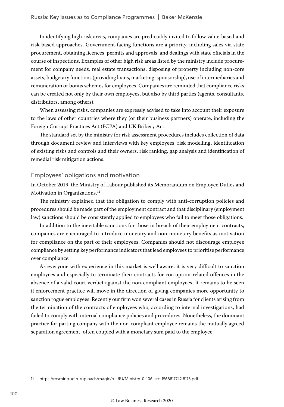In identifying high risk areas, companies are predictably invited to follow value-based and risk-based approaches. Government-facing functions are a priority, including sales via state procurement, obtaining licences, permits and approvals, and dealings with state officials in the course of inspections. Examples of other high risk areas listed by the ministry include procurement for company needs, real estate transactions, disposing of property including non-core assets, budgetary functions (providing loans, marketing, sponsorship), use of intermediaries and remuneration or bonus schemes for employees. Companies are reminded that compliance risks can be created not only by their own employees, but also by third parties (agents, consultants, distributors, among others).

When assessing risks, companies are expressly advised to take into account their exposure to the laws of other countries where they (or their business partners) operate, including the Foreign Corrupt Practices Act (FCPA) and UK Bribery Act.

The standard set by the ministry for risk assessment procedures includes collection of data through document review and interviews with key employees, risk modelling, identification of existing risks and controls and their owners, risk ranking, gap analysis and identification of remedial risk mitigation actions.

#### Employees' obligations and motivation

In October 2019, the Ministry of Labour published its Memorandum on Employee Duties and Motivation in Organizations.<sup>11</sup>

The ministry explained that the obligation to comply with anti-corruption policies and procedures should be made part of the employment contract and that disciplinary (employment law) sanctions should be consistently applied to employees who fail to meet those obligations.

In addition to the inevitable sanctions for those in breach of their employment contracts, companies are encouraged to introduce monetary and non-monetary benefits as motivation for compliance on the part of their employees. Companies should not discourage employee compliance by setting key performance indicators that lead employees to prioritise performance over compliance.

As everyone with experience in this market is well aware, it is very difficult to sanction employees and especially to terminate their contracts for corruption-related offences in the absence of a valid court verdict against the non-compliant employees. It remains to be seen if enforcement practice will move in the direction of giving companies more opportunity to sanction rogue employees. Recently our firm won several cases in Russia for clients arising from the termination of the contracts of employees who, according to internal investigations, had failed to comply with internal compliance policies and procedures. Nonetheless, the dominant practice for parting company with the non-compliant employee remains the mutually agreed separation agreement, often coupled with a monetary sum paid to the employee.

<sup>11</sup> https://rosmintrud.ru/uploads/magic/ru-RU/Ministry-0-106-src-1568817742.8173.pdf.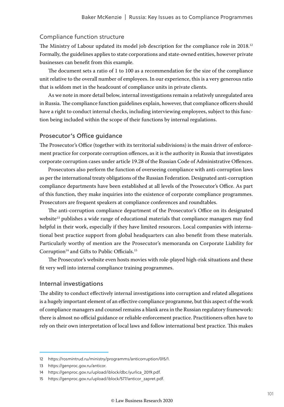#### Compliance function structure

The Ministry of Labour updated its model job description for the compliance role in 2018.<sup>12</sup> Formally, the guidelines applies to state corporations and state-owned entities, however private businesses can benefit from this example.

The document sets a ratio of 1 to 100 as a recommendation for the size of the compliance unit relative to the overall number of employees. In our experience, this is a very generous ratio that is seldom met in the headcount of compliance units in private clients.

As we note in more detail below, internal investigations remain a relatively unregulated area in Russia. The compliance function guidelines explain, however, that compliance officers should have a right to conduct internal checks, including interviewing employees, subject to this function being included within the scope of their functions by internal regulations.

#### Prosecutor's Office guidance

The Prosecutor's Office (together with its territorial subdivisions) is the main driver of enforcement practice for corporate corruption offences, as it is the authority in Russia that investigates corporate corruption cases under article 19.28 of the Russian Code of Administrative Offences.

Prosecutors also perform the function of overseeing compliance with anti-corruption laws as per the international treaty obligations of the Russian Federation. Designated anti-corruption compliance departments have been established at all levels of the Prosecutor's Office. As part of this function, they make inquiries into the existence of corporate compliance programmes. Prosecutors are frequent speakers at compliance conferences and roundtables.

The anti-corruption compliance department of the Prosecutor's Office on its designated website<sup>13</sup> publishes a wide range of educational materials that compliance managers may find helpful in their work, especially if they have limited resources. Local companies with international best practice support from global headquarters can also benefit from these materials. Particularly worthy of mention are the Prosecutor's memorandа on Corporate Liability for Corruption<sup>14</sup> and Gifts to Public Officials.<sup>15</sup>

The Prosecutor's website even hosts movies with role-played high-risk situations and these fit very well into internal compliance training programmes.

#### Internal investigations

The ability to conduct effectively internal investigations into corruption and related allegations is a hugely important element of an effective compliance programme, but this aspect of the work of compliance managers and counsel remains a blank area in the Russian regulatory framework: there is almost no official guidance or reliable enforcement practice. Practitioners often have to rely on their own interpretation of local laws and follow international best practice. This makes

<sup>12</sup> https://rosmintrud.ru/ministry/programms/anticorruption/015/1.

<sup>13</sup> https://genproc.gov.ru/anticor.

<sup>14</sup> https://genproc.gov.ru/upload/iblock/dbc/yurlica\_2019.pdf.

<sup>15</sup> https://genproc.gov.ru/upload/iblock/577/anticor\_zapret.pdf.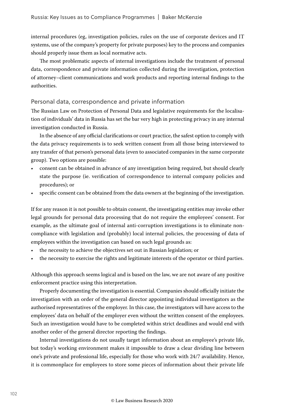internal procedures (eg, investigation policies, rules on the use of corporate devices and IT systems, use of the company's property for private purposes) key to the process and companies should properly issue them as local normative acts.

The most problematic aspects of internal investigations include the treatment of personal data, correspondence and private information collected during the investigation, protection of attorney–client communications and work products and reporting internal findings to the authorities.

#### Personal data, correspondence and private information

The Russian Law on Protection of Personal Data and legislative requirements for the localisation of individuals' data in Russia has set the bar very high in protecting privacy in any internal investigation conducted in Russia.

In the absence of any official clarifications or court practice, the safest option to comply with the data privacy requirements is to seek written consent from all those being interviewed to any transfer of that person's personal data (even to associated companies in the same corporate group). Two options are possible:

- consent can be obtained in advance of any investigation being required, but should clearly state the purpose (ie. verification of correspondence to internal company policies and procedures); or
- specific consent can be obtained from the data owners at the beginning of the investigation.

If for any reason it is not possible to obtain consent, the investigating entities may invoke other legal grounds for personal data processing that do not require the employees' consent. For example, as the ultimate goal of internal anti-corruption investigations is to eliminate noncompliance with legislation and (probably) local internal policies, the processing of data of employees within the investigation can based on such legal grounds as:

- the necessity to achieve the objectives set out in Russian legislation; or
- the necessity to exercise the rights and legitimate interests of the operator or third parties.

Although this approach seems logical and is based on the law, we are not aware of any positive enforcement practice using this interpretation.

Properly documenting the investigation is essential. Companies should officially initiate the investigation with an order of the general director appointing individual investigators as the authorised representatives of the employer. In this case, the investigators will have access to the employees' data on behalf of the employer even without the written consent of the employees. Such an investigation would have to be completed within strict deadlines and would end with another order of the general director reporting the findings.

Internal investigations do not usually target information about an employee's private life, but today's working environment makes it impossible to draw a clear dividing line between one's private and professional life, especially for those who work with 24/7 availability. Hence, it is commonplace for employees to store some pieces of information about their private life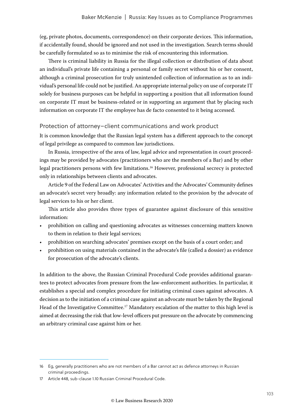(eg, private photos, documents, correspondence) on their corporate devices. This information, if accidentally found, should be ignored and not used in the investigation. Search terms should be carefully formulated so as to minimise the risk of encountering this information.

There is criminal liability in Russia for the illegal collection or distribution of data about an individual's private life containing a personal or family secret without his or her consent, although a criminal prosecution for truly unintended collection of information as to an individual's personal life could not be justified. An appropriate internal policy on use of corporate IT solely for business purposes can be helpful in supporting a position that all information found on corporate IT must be business-related or in supporting an argument that by placing such information on corporate IT the employee has de facto consented to it being accessed.

#### Protection of attorney–client communications and work product

It is common knowledge that the Russian legal system has a different approach to the concept of legal privilege as compared to common law jurisdictions.

In Russia, irrespective of the area of law, legal advice and representation in court proceedings may be provided by advocates (practitioners who are the members of a Bar) and by other legal practitioners persons with few limitations.16 However, professional secrecy is protected only in relationships between clients and advocates.

Article 9 of the Federal Law on Advocates' Activities and the Advocates' Community defines an advocate's secret very broadly: any information related to the provision by the advocate of legal services to his or her client.

This article also provides three types of guarantee against disclosure of this sensitive information:

- prohibition on calling and questioning advocates as witnesses concerning matters known to them in relation to their legal services;
- prohibition on searching advocates' premises except on the basis of a court order; and
- prohibition on using materials contained in the advocate's file (called a dossier) as evidence for prosecution of the advocate's clients.

In addition to the above, the Russian Criminal Procedural Code provides additional guarantees to protect advocates from pressure from the law-enforcement authorities. In particular, it establishes a special and complex procedure for initiating criminal cases against advocates. A decision as to the initiation of a criminal case against an advocate must be taken by the Regional Head of the Investigative Committee.<sup>17</sup> Mandatory escalation of the matter to this high level is aimed at decreasing the risk that low-level officers put pressure on the advocate by commencing an arbitrary criminal case against him or her.

<sup>16</sup> Eg, generally practitioners who are not members of a Bar cannot act as defence attorneys in Russian criminal proceedings.

<sup>17</sup> Article 448, sub-clause 1.10 Russian Criminal Procedural Code.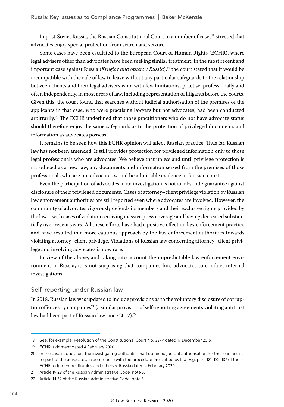In post-Soviet Russia, the Russian Constitutional Court in a number of cases<sup>18</sup> stressed that advocates enjoy special protection from search and seizure.

Some cases have been escalated to the European Court of Human Rights (ECHR), where legal advisers other than advocates have been seeking similar treatment. In the most recent and important case against Russia (*Kruglov and others v Russia*),<sup>19</sup> the court stated that it would be incompatible with the rule of law to leave without any particular safeguards to the relationship between clients and their legal advisers who, with few limitations, practise, professionally and often independently, in most areas of law, including representation of litigants before the courts. Given this, the court found that searches without judicial authorisation of the premises of the applicants in that case, who were practising lawyers but not advocates, had been conducted arbitrarily.<sup>20</sup> The ECHR underlined that those practitioners who do not have advocate status should therefore enjoy the same safeguards as to the protection of privileged documents and information as advocates possess.

It remains to be seen how this ECHR opinion will affect Russian practice. Thus far, Russian law has not been amended. It still provides protection for privileged information only to those legal professionals who are advocates. We believe that unless and until privilege protection is introduced as a new law, any documents and information seized from the premises of those professionals who are not advocates would be admissible evidence in Russian courts.

Even the participation of advocates in an investigation is not an absolute guarantee against disclosure of their privileged documents. Cases of attorney–client privilege violation by Russian law enforcement authorities are still reported even where advocates are involved. However, the community of advocates vigorously defends its members and their exclusive rights provided by the law – with cases of violation receiving massive press coverage and having decreased substantially over recent years. All these efforts have had a positive effect on law enforcement practice and have resulted in a more cautious approach by the law enforcement authorities towards violating attorney–client privilege. Violations of Russian law concerning attorney–client privilege and involving advocates is now rare.

In view of the above, and taking into account the unpredictable law enforcement environment in Russia, it is not surprising that companies hire advocates to conduct internal investigations.

#### Self-reporting under Russian law

In 2018, Russian law was updated to include provisions as to the voluntary disclosure of corruption offences by companies<sup>21</sup> (a similar provision of self-reporting agreements violating antitrust law had been part of Russian law since 2017).<sup>22</sup>

<sup>18</sup> See, for example, Resolution of the Constitutional Court No. 33-P dated 17 December 2015.

<sup>19</sup> ECHR judgment dated 4 February 2020.

<sup>20</sup> In the case in question, the investigating authorities had obtained judicial authorisation for the searches in respect of the advocates, in accordance with the procedure prescribed by law. E.g, para 121, 122, 137 of the ECHR judgment re: Kruglov and others v. Russia dated 4 February 2020.

<sup>21</sup> Article 19.28 of the Russian Administrative Code, note 5.

<sup>22</sup> Article 14.32 of the Russian Administrative Code, note 5.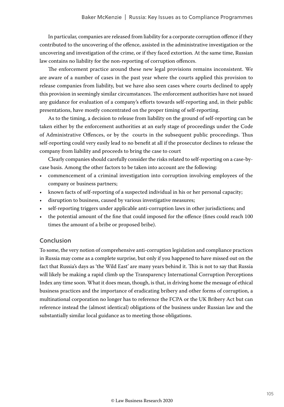In particular, companies are released from liability for a corporate corruption offence if they contributed to the uncovering of the offence, assisted in the administrative investigation or the uncovering and investigation of the crime, or if they faced extortion. At the same time, Russian law contains no liability for the non-reporting of corruption offences.

The enforcement practice around these new legal provisions remains inconsistent. We are aware of a number of cases in the past year where the courts applied this provision to release companies from liability, but we have also seen cases where courts declined to apply this provision in seemingly similar circumstances. The enforcement authorities have not issued any guidance for evaluation of a company's efforts towards self-reporting and, in their public presentations, have mostly concentrated on the proper timing of self-reporting.

As to the timing, a decision to release from liability on the ground of self-reporting can be taken either by the enforcement authorities at an early stage of proceedings under the Code of Administrative Offences, or by the courts in the subsequent public proceedings. Thus self-reporting could very easily lead to no benefit at all if the prosecutor declines to release the company from liability and proceeds to bring the case to court

Clearly companies should carefully consider the risks related to self-reporting on a case-bycase basis. Among the other factors to be taken into account are the following:

- commencement of a criminal investigation into corruption involving employees of the company or business partners;
- known facts of self-reporting of a suspected individual in his or her personal capacity;
- disruption to business, caused by various investigative measures;
- self-reporting triggers under applicable anti-corruption laws in other jurisdictions; and
- the potential amount of the fine that could imposed for the offence (fines could reach 100 times the amount of a bribe or proposed bribe).

#### Conclusion

To some, the very notion of comprehensive anti-corruption legislation and compliance practices in Russia may come as a complete surprise, but only if you happened to have missed out on the fact that Russia's days as 'the Wild East' are many years behind it. This is not to say that Russia will likely be making a rapid climb up the Transparency International Corruption Perceptions Index any time soon. What it does mean, though, is that, in driving home the message of ethical business practices and the importance of eradicating bribery and other forms of corruption, a multinational corporation no longer has to reference the FCPA or the UK Bribery Act but can reference instead the (almost identical) obligations of the business under Russian law and the substantially similar local guidance as to meeting those obligations.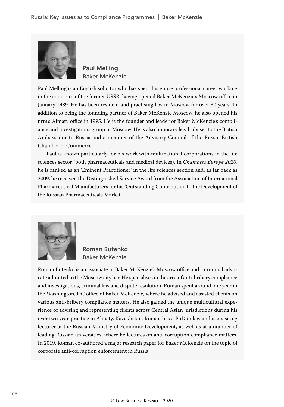

Paul Melling Baker McKenzie

Paul Melling is an English solicitor who has spent his entire professional career working in the countries of the former USSR, having opened Baker McKenzie's Moscow office in January 1989. He has been resident and practising law in Moscow for over 30 years. In addition to being the founding partner of Baker McKenzie Moscow, he also opened his firm's Almaty office in 1995. He is the founder and leader of Baker McKenzie's compliance and investigations group in Moscow. He is also honorary legal adviser to the British Ambassador to Russia and a member of the Advisory Council of the Russo–British Chamber of Commerce.

Paul is known particularly for his work with multinational corporations in the life sciences sector (both pharmaceuticals and medical devices). In *Chambers Europe 2020*, he is ranked as an 'Eminent Practitioner' in the life sciences section and, as far back as 2009, he received the Distinguished Service Award from the Association of International Pharmaceutical Manufacturers for his 'Outstanding Contribution to the Development of the Russian Pharmaceuticals Market'.



Roman Butenko Baker McKenzie

Roman Butenko is an associate in Baker McKenzie's Moscow office and a criminal advocate admitted to the Moscow city bar. He specialises in the area of anti-bribery compliance and investigations, criminal law and dispute resolution. Roman spent around one year in the Washington, DC office of Baker McKenzie, where he advised and assisted clients on various anti-bribery compliance matters. He also gained the unique multicultural experience of advising and representing clients across Central Asian jurisdictions during his over two year-practice in Almaty, Kazakhstan. Roman has a PhD in law and is a visiting lecturer at the Russian Ministry of Economic Development, as well as at a number of leading Russian universities, where he lectures on anti-corruption compliance matters. In 2019, Roman co-authored a major research paper for Baker McKenzie on the topic of corporate anti-corruption enforcement in Russia.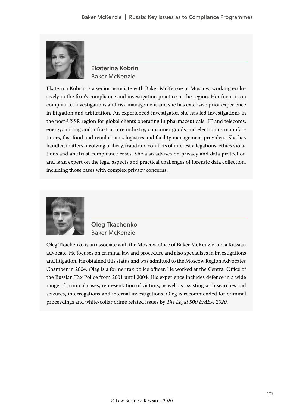

Ekaterina Kobrin Baker McKenzie

Ekaterina Kobrin is a senior associate with Baker McKenzie in Moscow, working exclusively in the firm's compliance and investigation practice in the region. Her focus is on compliance, investigations and risk management and she has extensive prior experience in litigation and arbitration. An experienced investigator, she has led investigations in the post-USSR region for global clients operating in pharmaceuticals, IT and telecoms, energy, mining and infrastructure industry, consumer goods and electronics manufacturers, fast food and retail chains, logistics and facility management providers. She has handled matters involving bribery, fraud and conflicts of interest allegations, ethics violations and antitrust compliance cases. She also advises on privacy and data protection and is an expert on the legal aspects and practical challenges of forensic data collection, including those cases with complex privacy concerns.



Oleg Tkachenko Baker McKenzie

Oleg Tkachenko is an associate with the Moscow office of Baker McKenzie and a Russian advocate. He focuses on criminal law and procedure and also specialises in investigations and litigation. He obtained this status and was admitted to the Moscow Region Advocates Chamber in 2004. Oleg is a former tax police officer. He worked at the Central Office of the Russian Tax Police from 2001 until 2004. His experience includes defence in a wide range of criminal cases, representation of victims, as well as assisting with searches and seizures, interrogations and internal investigations. Oleg is recommended for criminal proceedings and white-collar crime related issues by *The Legal 500 EMEA 2020*.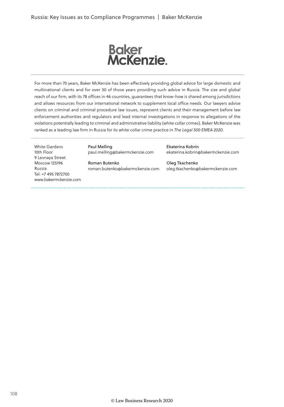

For more than 70 years, Baker McKenzie has been effectively providing global advice for large domestic and multinational clients and for over 30 of those years providing such advice in Russia. The size and global reach of our firm, with its 78 offices in 46 countries, guarantees that know-how is shared among jurisdictions and allows resources from our international network to supplement local office needs. Our lawyers advise clients on criminal and criminal procedure law issues, represent clients and their management before law enforcement authorities and regulators and lead internal investigations in response to allegations of the violations potentially leading to criminal and administrative liability (white collar crimes). Baker McKenzie was ranked as a leading law firm in Russia for its white collar crime practice in *The Legal 500 EMEA 2020*.

White Gardens 10th Floor 9 Lesnaya Street Moscow 125196 Russia Tel: +7 495 7872700 www.bakermckenzie.com Paul Melling paul.melling@bakermckenzie.com

Roman Butenko roman.butenko@bakermckenzie.com Ekaterina Kobrin ekaterina.kobrin@bakermckenzie.com

Oleg Tkachenko oleg.tkachenko@bakermckenzie.com